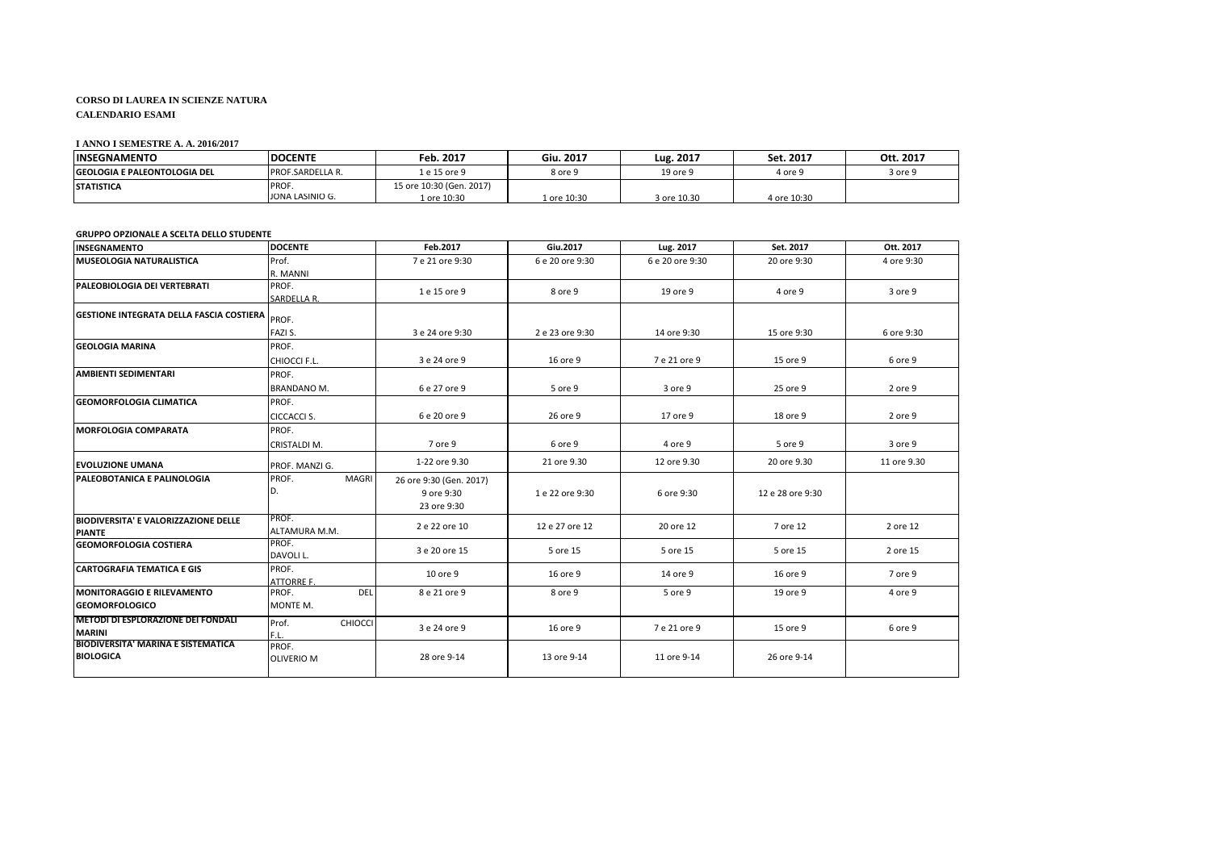## **CORSO DI LAUREA IN SCIENZE NATURA CALENDARIO ESAMI**

## **I ANNO I SEMESTRE A. A. 2016/2017**

| <b>INSEGNAMENTO</b>                  | <b>DOCENTE</b>           | Feb. 2017                               | Giu. 2017   | Lug. 2017   | Set. 2017   | Ott. 2017 |
|--------------------------------------|--------------------------|-----------------------------------------|-------------|-------------|-------------|-----------|
| <b>IGEOLOGIA E PALEONTOLOGIA DEL</b> | <b>PROF.SARDELLA R.</b>  | l e 15 ore 9                            | 8 ore 9     | 19 ore 9    | 4 ore 9     | 3 ore 9   |
| <b>STATISTICA</b>                    | PROF.<br>JONA LASINIO G. | 15 ore 10:30 (Gen. 2017)<br>l ore 10:30 | L ore 10:30 | 3 ore 10.30 | 4 ore 10:30 |           |

## **GRUPPO OPZIONALE A SCELTA DELLO STUDENTE**

| <b>INSEGNAMENTO</b>                                           | <b>DOCENTE</b>                  | Feb.2017                                             | Giu.2017        | Lug. 2017       | Set. 2017        | Ott. 2017   |
|---------------------------------------------------------------|---------------------------------|------------------------------------------------------|-----------------|-----------------|------------------|-------------|
| <b>MUSEOLOGIA NATURALISTICA</b>                               | Prof.<br>R. MANNI               | 7 e 21 ore 9:30                                      | 6 e 20 ore 9:30 | 6 e 20 ore 9:30 | 20 ore 9:30      | 4 ore 9:30  |
| <b>PALEOBIOLOGIA DEI VERTEBRATI</b>                           | PROF.<br>SARDELLA R.            | 1 e 15 ore 9                                         | 8 ore 9         | 19 ore 9        | 4 ore 9          | 3 ore 9     |
| <b>GESTIONE INTEGRATA DELLA FASCIA COSTIERA</b> PROF.         | FAZI S.                         | 3 e 24 ore 9:30                                      | 2 e 23 ore 9:30 | 14 ore 9:30     | 15 ore 9:30      | 6 ore 9:30  |
| <b>GEOLOGIA MARINA</b>                                        | PROF.<br>CHIOCCI F.L.           | 3 e 24 ore 9                                         | 16 ore 9        | 7 e 21 ore 9    | 15 ore 9         | 6 ore 9     |
| AMBIENTI SEDIMENTARI                                          | PROF.<br><b>BRANDANO M.</b>     | 6 e 27 ore 9                                         | 5 ore 9         | 3 ore 9         | 25 ore 9         | 2 ore 9     |
| <b>GEOMORFOLOGIA CLIMATICA</b>                                | PROF.<br>CICCACCI S.            | 6 e 20 ore 9                                         | 26 ore 9        | 17 ore 9        | 18 ore 9         | 2 ore 9     |
| <b>MORFOLOGIA COMPARATA</b>                                   | PROF.<br>CRISTALDI M.           | 7 ore 9                                              | 6 ore 9         | 4 ore 9         | 5 ore 9          | 3 ore 9     |
| <b>EVOLUZIONE UMANA</b>                                       | PROF. MANZI G.                  | 1-22 ore 9.30                                        | 21 ore 9.30     | 12 ore 9.30     | 20 ore 9.30      | 11 ore 9.30 |
| <b>PALEOBOTANICA E PALINOLOGIA</b>                            | PROF.<br><b>MAGRI</b><br>D.     | 26 ore 9:30 (Gen. 2017)<br>9 ore 9:30<br>23 ore 9:30 | 1 e 22 ore 9:30 | 6 ore 9:30      | 12 e 28 ore 9:30 |             |
| <b>BIODIVERSITA' E VALORIZZAZIONE DELLE</b><br><b>PIANTE</b>  | PROF.<br>ALTAMURA M.M.          | 2 e 22 ore 10                                        | 12 e 27 ore 12  | 20 ore 12       | 7 ore 12         | 2 ore 12    |
| <b>GEOMORFOLOGIA COSTIERA</b>                                 | PROF.<br>DAVOLI L.              | 3 e 20 ore 15                                        | 5 ore 15        | 5 ore 15        | 5 ore 15         | 2 ore 15    |
| <b>CARTOGRAFIA TEMATICA E GIS</b>                             | PROF.<br><b>ATTORRE F.</b>      | 10 ore 9                                             | 16 ore 9        | 14 ore 9        | 16 ore 9         | 7 ore 9     |
| <b>MONITORAGGIO E RILEVAMENTO</b><br><b>GEOMORFOLOGICO</b>    | DEL<br>PROF.<br>MONTE M.        | 8 e 21 ore 9                                         | 8 ore 9         | 5 ore 9         | 19 ore 9         | 4 ore 9     |
| <b>METODI DI ESPLORAZIONE DEI FONDALI</b><br><b>MARINI</b>    | Prof.<br><b>CHIOCCI</b><br>F.L. | 3 e 24 ore 9                                         | 16 ore 9        | 7 e 21 ore 9    | 15 ore 9         | 6 ore 9     |
| <b>BIODIVERSITA' MARINA E SISTEMATICA</b><br><b>BIOLOGICA</b> | PROF.<br><b>OLIVERIO M</b>      | 28 ore 9-14                                          | 13 ore 9-14     | 11 ore 9-14     | 26 ore 9-14      |             |